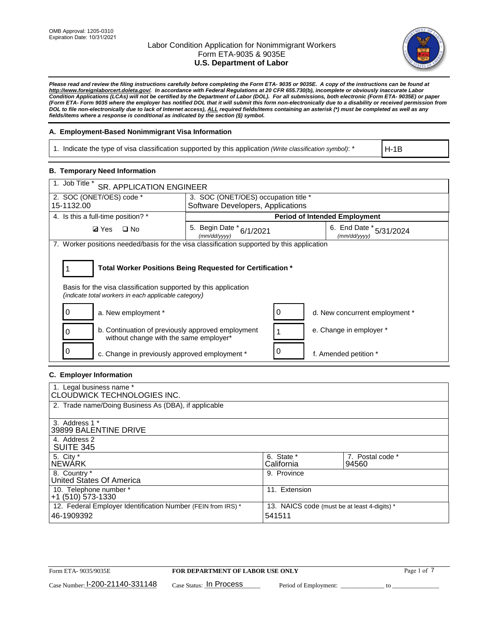

*Please read and review the filing instructions carefully before completing the Form ETA- 9035 or 9035E. A copy of the instructions can be found at [http://www.foreignlaborcert.doleta.gov/.](http://www.foreignlaborcert.doleta.gov/) In accordance with Federal Regulations at 20 CFR 655.730(b), incomplete or obviously inaccurate Labor Condition Applications (LCAs) will not be certified by the Department of Labor (DOL). For all submissions, both electronic (Form ETA- 9035E) or paper (Form ETA- Form 9035 where the employer has notified DOL that it will submit this form non-electronically due to a disability or received permission from DOL to file non-electronically due to lack of Internet access), ALL required fields/items containing an asterisk (\*) must be completed as well as any fields/items where a response is conditional as indicated by the section (§) symbol.* 

## **A. Employment-Based Nonimmigrant Visa Information**

1. Indicate the type of visa classification supported by this application *(Write classification symbol)*: \*

H-1B

## **B. Temporary Need Information**

| 1. Job Title *<br><b>SR. APPLICATION ENGINEER</b>                                                                                                                                     |                                                                                     |                                      |  |  |  |  |
|---------------------------------------------------------------------------------------------------------------------------------------------------------------------------------------|-------------------------------------------------------------------------------------|--------------------------------------|--|--|--|--|
| 2. SOC (ONET/OES) code *                                                                                                                                                              | 3. SOC (ONET/OES) occupation title *                                                |                                      |  |  |  |  |
| 15-1132.00                                                                                                                                                                            | Software Developers, Applications                                                   |                                      |  |  |  |  |
| 4. Is this a full-time position? *                                                                                                                                                    |                                                                                     | <b>Period of Intended Employment</b> |  |  |  |  |
| $\square$ No<br><b>Ø</b> Yes                                                                                                                                                          | 6. End Date * 5/31/2024<br>5. Begin Date * 6/1/2021<br>(mm/dd/yyyy)<br>(mm/dd/yyyy) |                                      |  |  |  |  |
| 7. Worker positions needed/basis for the visa classification supported by this application                                                                                            |                                                                                     |                                      |  |  |  |  |
| Total Worker Positions Being Requested for Certification *<br>Basis for the visa classification supported by this application<br>(indicate total workers in each applicable category) |                                                                                     |                                      |  |  |  |  |
| a. New employment *                                                                                                                                                                   | 0                                                                                   | d. New concurrent employment *       |  |  |  |  |
| b. Continuation of previously approved employment<br>without change with the same employer*                                                                                           |                                                                                     | e. Change in employer *              |  |  |  |  |
| c. Change in previously approved employment *                                                                                                                                         | 0                                                                                   | f. Amended petition *                |  |  |  |  |

## **C. Employer Information**

| 1. Legal business name *                                     |                                              |                  |
|--------------------------------------------------------------|----------------------------------------------|------------------|
| CLOUDWICK TECHNOLOGIES INC.                                  |                                              |                  |
| 2. Trade name/Doing Business As (DBA), if applicable         |                                              |                  |
|                                                              |                                              |                  |
| 3. Address 1 *                                               |                                              |                  |
| 39899 BALENTINE DRIVE                                        |                                              |                  |
| 4. Address 2                                                 |                                              |                  |
| <b>SUITE 345</b>                                             |                                              |                  |
| 5. City *                                                    | 6. State *                                   | 7. Postal code * |
| <b>NEWARK</b>                                                | California                                   | 94560            |
| 8. Country *                                                 | 9. Province                                  |                  |
| United States Of America                                     |                                              |                  |
| 10. Telephone number *                                       | 11. Extension                                |                  |
| $+1$ (510) 573-1330                                          |                                              |                  |
| 12. Federal Employer Identification Number (FEIN from IRS) * | 13. NAICS code (must be at least 4-digits) * |                  |
| 46-1909392                                                   | 541511                                       |                  |
|                                                              |                                              |                  |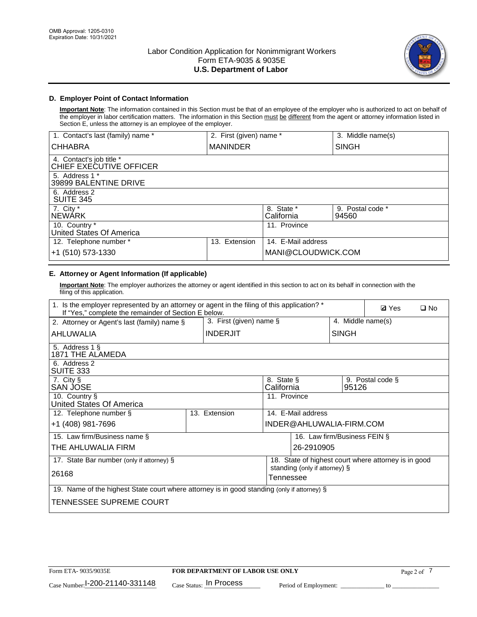

# **D. Employer Point of Contact Information**

**Important Note**: The information contained in this Section must be that of an employee of the employer who is authorized to act on behalf of the employer in labor certification matters. The information in this Section must be different from the agent or attorney information listed in Section E, unless the attorney is an employee of the employer.

| 1. Contact's last (family) name *                   | 2. First (given) name * |                          | 3. Middle name(s)         |
|-----------------------------------------------------|-------------------------|--------------------------|---------------------------|
| <b>CHHABRA</b>                                      | <b>MANINDER</b>         |                          | <b>SINGH</b>              |
| 4. Contact's job title *<br>CHIEF EXECUTIVE OFFICER |                         |                          |                           |
| 5. Address 1 *<br>39899 BALENTINE DRIVE             |                         |                          |                           |
| 6. Address 2<br><b>SUITE 345</b>                    |                         |                          |                           |
| 7. City *<br><b>NEWÁRK</b>                          |                         | 8. State *<br>California | 9. Postal code *<br>94560 |
| 10. Country *<br>United States Of America           |                         | 11. Province             |                           |
| 12. Telephone number *                              | Extension<br>13.        | 14. E-Mail address       |                           |
| +1 (510) 573-1330                                   |                         | MANI@CLOUDWICK.COM       |                           |

# **E. Attorney or Agent Information (If applicable)**

**Important Note**: The employer authorizes the attorney or agent identified in this section to act on its behalf in connection with the filing of this application.

| 1. Is the employer represented by an attorney or agent in the filing of this application? *<br>If "Yes," complete the remainder of Section E below. |                                 |               |                          |                               |                   | <b>Ø</b> Yes<br>$\square$ No                         |
|-----------------------------------------------------------------------------------------------------------------------------------------------------|---------------------------------|---------------|--------------------------|-------------------------------|-------------------|------------------------------------------------------|
| 3. First (given) name $\S$<br>2. Attorney or Agent's last (family) name §                                                                           |                                 |               |                          |                               | 4. Middle name(s) |                                                      |
| AHLUWALIA                                                                                                                                           | <b>INDERJIT</b><br><b>SINGH</b> |               |                          |                               |                   |                                                      |
| 5. Address 1 §<br><b>1871 THE ALAMEDA</b>                                                                                                           |                                 |               |                          |                               |                   |                                                      |
| 6. Address 2<br>SUITE 333                                                                                                                           |                                 |               |                          |                               |                   |                                                      |
| 7. City §<br>SAN JOSE                                                                                                                               |                                 |               | 8. State §<br>California |                               | 95126             | 9. Postal code §                                     |
| 10. Country §<br>United States Of America                                                                                                           |                                 |               | 11. Province             |                               |                   |                                                      |
| 12. Telephone number §                                                                                                                              |                                 | 13. Extension |                          | 14. E-Mail address            |                   |                                                      |
| +1 (408) 981-7696                                                                                                                                   |                                 |               |                          | INDER@AHLUWALIA-FIRM.COM      |                   |                                                      |
| 15. Law firm/Business name §                                                                                                                        |                                 |               |                          | 16. Law firm/Business FEIN §  |                   |                                                      |
| THE AHLUWALIA FIRM                                                                                                                                  |                                 |               |                          | 26-2910905                    |                   |                                                      |
| 17. State Bar number (only if attorney) §                                                                                                           |                                 |               |                          |                               |                   | 18. State of highest court where attorney is in good |
| 26168                                                                                                                                               |                                 |               | Tennessee                | standing (only if attorney) § |                   |                                                      |
| 19. Name of the highest State court where attorney is in good standing (only if attorney) §                                                         |                                 |               |                          |                               |                   |                                                      |
| TENNESSEE SUPREME COURT                                                                                                                             |                                 |               |                          |                               |                   |                                                      |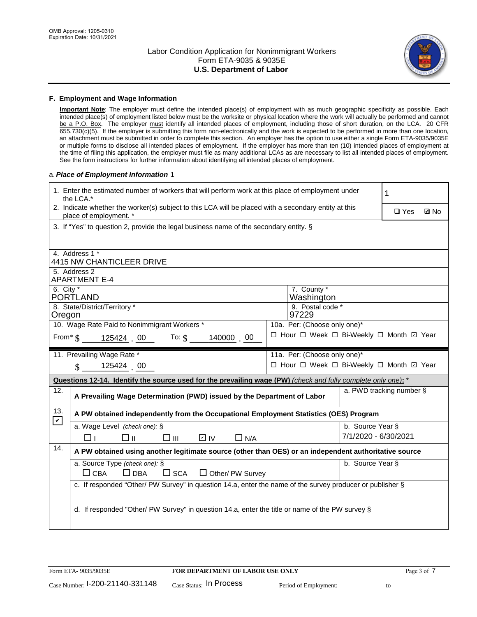

### **F. Employment and Wage Information**

**Important Note**: The employer must define the intended place(s) of employment with as much geographic specificity as possible. Each intended place(s) of employment listed below must be the worksite or physical location where the work will actually be performed and cannot be a P.O. Box. The employer must identify all intended places of employment, including those of short duration, on the LCA. 20 CFR 655.730(c)(5). If the employer is submitting this form non-electronically and the work is expected to be performed in more than one location, an attachment must be submitted in order to complete this section. An employer has the option to use either a single Form ETA-9035/9035E or multiple forms to disclose all intended places of employment. If the employer has more than ten (10) intended places of employment at the time of filing this application, the employer must file as many additional LCAs as are necessary to list all intended places of employment. See the form instructions for further information about identifying all intended places of employment.

### a.*Place of Employment Information* 1

|                                                                                                 | 1. Enter the estimated number of workers that will perform work at this place of employment under<br>the LCA.*                 |  | 1                            |                      |                          |             |  |  |
|-------------------------------------------------------------------------------------------------|--------------------------------------------------------------------------------------------------------------------------------|--|------------------------------|----------------------|--------------------------|-------------|--|--|
|                                                                                                 | 2. Indicate whether the worker(s) subject to this LCA will be placed with a secondary entity at this<br>place of employment. * |  |                              |                      | $\Box$ Yes               | <b>Z</b> No |  |  |
|                                                                                                 | 3. If "Yes" to question 2, provide the legal business name of the secondary entity. §                                          |  |                              |                      |                          |             |  |  |
|                                                                                                 |                                                                                                                                |  |                              |                      |                          |             |  |  |
|                                                                                                 | 4. Address 1 *<br><b>4415 NW CHANTICLEER DRIVE</b>                                                                             |  |                              |                      |                          |             |  |  |
|                                                                                                 | 5. Address 2<br><b>APARTMENT E-4</b>                                                                                           |  |                              |                      |                          |             |  |  |
|                                                                                                 | 6. City $*$<br>7. County *<br>Washington<br>PORTLAND                                                                           |  |                              |                      |                          |             |  |  |
| 8. State/District/Territory *<br>9. Postal code *                                               |                                                                                                                                |  |                              |                      |                          |             |  |  |
| 97229<br>Oregon<br>10. Wage Rate Paid to Nonimmigrant Workers *<br>10a. Per: (Choose only one)* |                                                                                                                                |  |                              |                      |                          |             |  |  |
|                                                                                                 | □ Hour □ Week □ Bi-Weekly □ Month 回 Year<br>From $\frac{1}{3}$ 125424 00 To: $\frac{1}{3}$<br>140000 00                        |  |                              |                      |                          |             |  |  |
|                                                                                                 | 11. Prevailing Wage Rate *                                                                                                     |  | 11a. Per: (Choose only one)* |                      |                          |             |  |  |
| 125424 00<br>□ Hour □ Week □ Bi-Weekly □ Month 回 Year<br>$\mathcal{S}$                          |                                                                                                                                |  |                              |                      |                          |             |  |  |
|                                                                                                 | Questions 12-14. Identify the source used for the prevailing wage (PW) (check and fully complete only one): *                  |  |                              |                      |                          |             |  |  |
| $\overline{12}$ .                                                                               | A Prevailing Wage Determination (PWD) issued by the Department of Labor                                                        |  |                              |                      | a. PWD tracking number § |             |  |  |
| 13.                                                                                             | A PW obtained independently from the Occupational Employment Statistics (OES) Program                                          |  |                              |                      |                          |             |  |  |
| $\blacktriangledown$                                                                            | a. Wage Level (check one): §                                                                                                   |  |                              | b. Source Year §     |                          |             |  |  |
|                                                                                                 | $\Box$ II<br>D IV<br>$\square$ $\square$<br>$\Box$ N/A<br>⊓⊥                                                                   |  |                              | 7/1/2020 - 6/30/2021 |                          |             |  |  |
| 14.                                                                                             | A PW obtained using another legitimate source (other than OES) or an independent authoritative source                          |  |                              |                      |                          |             |  |  |
|                                                                                                 | a. Source Type (check one): §                                                                                                  |  |                              | b. Source Year §     |                          |             |  |  |
|                                                                                                 | $\Box$ CBA<br>$\Box$ DBA<br>$\square$ SCA<br>$\Box$ Other/ PW Survey                                                           |  |                              |                      |                          |             |  |  |
|                                                                                                 | c. If responded "Other/ PW Survey" in question 14.a, enter the name of the survey producer or publisher §                      |  |                              |                      |                          |             |  |  |
|                                                                                                 | d. If responded "Other/ PW Survey" in question 14.a, enter the title or name of the PW survey §                                |  |                              |                      |                          |             |  |  |
|                                                                                                 |                                                                                                                                |  |                              |                      |                          |             |  |  |
|                                                                                                 |                                                                                                                                |  |                              |                      |                          |             |  |  |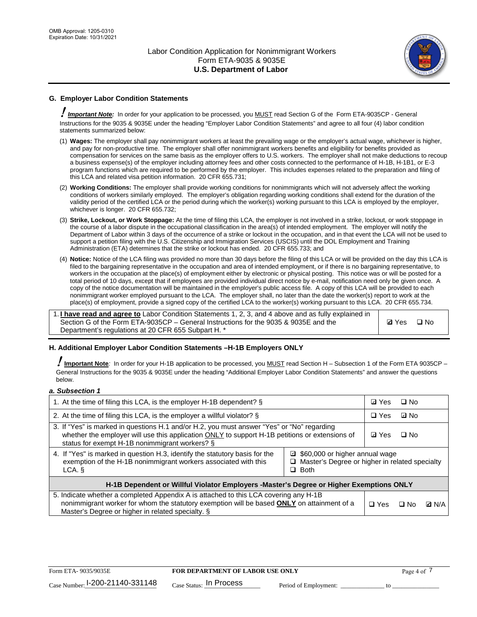

# **G. Employer Labor Condition Statements**

! *Important Note:* In order for your application to be processed, you MUST read Section G of the Form ETA-9035CP - General Instructions for the 9035 & 9035E under the heading "Employer Labor Condition Statements" and agree to all four (4) labor condition statements summarized below:

- (1) **Wages:** The employer shall pay nonimmigrant workers at least the prevailing wage or the employer's actual wage, whichever is higher, and pay for non-productive time. The employer shall offer nonimmigrant workers benefits and eligibility for benefits provided as compensation for services on the same basis as the employer offers to U.S. workers. The employer shall not make deductions to recoup a business expense(s) of the employer including attorney fees and other costs connected to the performance of H-1B, H-1B1, or E-3 program functions which are required to be performed by the employer. This includes expenses related to the preparation and filing of this LCA and related visa petition information. 20 CFR 655.731;
- (2) **Working Conditions:** The employer shall provide working conditions for nonimmigrants which will not adversely affect the working conditions of workers similarly employed. The employer's obligation regarding working conditions shall extend for the duration of the validity period of the certified LCA or the period during which the worker(s) working pursuant to this LCA is employed by the employer, whichever is longer. 20 CFR 655.732;
- (3) **Strike, Lockout, or Work Stoppage:** At the time of filing this LCA, the employer is not involved in a strike, lockout, or work stoppage in the course of a labor dispute in the occupational classification in the area(s) of intended employment. The employer will notify the Department of Labor within 3 days of the occurrence of a strike or lockout in the occupation, and in that event the LCA will not be used to support a petition filing with the U.S. Citizenship and Immigration Services (USCIS) until the DOL Employment and Training Administration (ETA) determines that the strike or lockout has ended. 20 CFR 655.733; and
- (4) **Notice:** Notice of the LCA filing was provided no more than 30 days before the filing of this LCA or will be provided on the day this LCA is filed to the bargaining representative in the occupation and area of intended employment, or if there is no bargaining representative, to workers in the occupation at the place(s) of employment either by electronic or physical posting. This notice was or will be posted for a total period of 10 days, except that if employees are provided individual direct notice by e-mail, notification need only be given once. A copy of the notice documentation will be maintained in the employer's public access file. A copy of this LCA will be provided to each nonimmigrant worker employed pursuant to the LCA. The employer shall, no later than the date the worker(s) report to work at the place(s) of employment, provide a signed copy of the certified LCA to the worker(s) working pursuant to this LCA. 20 CFR 655.734.

1. **I have read and agree to** Labor Condition Statements 1, 2, 3, and 4 above and as fully explained in Section G of the Form ETA-9035CP – General Instructions for the 9035 & 9035E and the Department's regulations at 20 CFR 655 Subpart H. \*

**Ø**Yes ロNo

## **H. Additional Employer Labor Condition Statements –H-1B Employers ONLY**

!**Important Note***:* In order for your H-1B application to be processed, you MUST read Section H – Subsection 1 of the Form ETA 9035CP – General Instructions for the 9035 & 9035E under the heading "Additional Employer Labor Condition Statements" and answer the questions below.

#### *a. Subsection 1*

| 1. At the time of filing this LCA, is the employer H-1B dependent? §                                                                                                                                                                           | ⊡ Yes                                                                                               | $\square$ No |              |  |  |  |
|------------------------------------------------------------------------------------------------------------------------------------------------------------------------------------------------------------------------------------------------|-----------------------------------------------------------------------------------------------------|--------------|--------------|--|--|--|
| 2. At the time of filing this LCA, is the employer a willful violator? $\S$                                                                                                                                                                    | $\Box$ Yes                                                                                          | ⊡ No         |              |  |  |  |
| 3. If "Yes" is marked in questions H.1 and/or H.2, you must answer "Yes" or "No" regarding<br>whether the employer will use this application ONLY to support H-1B petitions or extensions of<br>status for exempt H-1B nonimmigrant workers? § | <b>☑</b> Yes                                                                                        | $\Box$ No    |              |  |  |  |
| 4. If "Yes" is marked in question H.3, identify the statutory basis for the<br>exemption of the H-1B nonimmigrant workers associated with this<br>LCA. §                                                                                       | ■ \$60,000 or higher annual wage<br>□ Master's Degree or higher in related specialty<br>$\Box$ Both |              |              |  |  |  |
| H-1B Dependent or Willful Violator Employers -Master's Degree or Higher Exemptions ONLY                                                                                                                                                        |                                                                                                     |              |              |  |  |  |
| 5. Indicate whether a completed Appendix A is attached to this LCA covering any H-1B<br>nonimmigrant worker for whom the statutory exemption will be based <b>ONLY</b> on attainment of a<br>Master's Degree or higher in related specialty. § | $\Box$ Yes                                                                                          | ⊡ No         | <b>Q</b> N/A |  |  |  |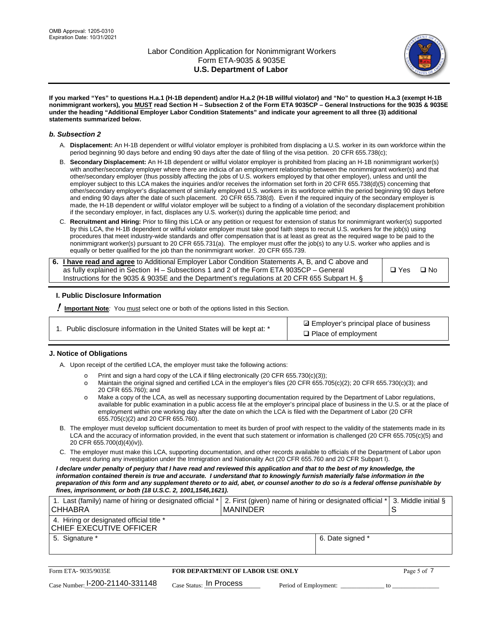

**If you marked "Yes" to questions H.a.1 (H-1B dependent) and/or H.a.2 (H-1B willful violator) and "No" to question H.a.3 (exempt H-1B nonimmigrant workers), you MUST read Section H – Subsection 2 of the Form ETA 9035CP – General Instructions for the 9035 & 9035E under the heading "Additional Employer Labor Condition Statements" and indicate your agreement to all three (3) additional statements summarized below.**

### *b. Subsection 2*

- A. **Displacement:** An H-1B dependent or willful violator employer is prohibited from displacing a U.S. worker in its own workforce within the period beginning 90 days before and ending 90 days after the date of filing of the visa petition. 20 CFR 655.738(c);
- B. **Secondary Displacement:** An H-1B dependent or willful violator employer is prohibited from placing an H-1B nonimmigrant worker(s) with another/secondary employer where there are indicia of an employment relationship between the nonimmigrant worker(s) and that other/secondary employer (thus possibly affecting the jobs of U.S. workers employed by that other employer), unless and until the employer subject to this LCA makes the inquiries and/or receives the information set forth in 20 CFR 655.738(d)(5) concerning that other/secondary employer's displacement of similarly employed U.S. workers in its workforce within the period beginning 90 days before and ending 90 days after the date of such placement. 20 CFR 655.738(d). Even if the required inquiry of the secondary employer is made, the H-1B dependent or willful violator employer will be subject to a finding of a violation of the secondary displacement prohibition if the secondary employer, in fact, displaces any U.S. worker(s) during the applicable time period; and
- C. **Recruitment and Hiring:** Prior to filing this LCA or any petition or request for extension of status for nonimmigrant worker(s) supported by this LCA, the H-1B dependent or willful violator employer must take good faith steps to recruit U.S. workers for the job(s) using procedures that meet industry-wide standards and offer compensation that is at least as great as the required wage to be paid to the nonimmigrant worker(s) pursuant to 20 CFR 655.731(a). The employer must offer the job(s) to any U.S. worker who applies and is equally or better qualified for the job than the nonimmigrant worker. 20 CFR 655.739.

| 6. I have read and agree to Additional Employer Labor Condition Statements A, B, and C above and |       |           |
|--------------------------------------------------------------------------------------------------|-------|-----------|
| as fully explained in Section H – Subsections 1 and 2 of the Form ETA 9035CP – General           | □ Yes | $\Box$ No |
| Instructions for the 9035 & 9035E and the Department's regulations at 20 CFR 655 Subpart H. §    |       |           |

## **I. Public Disclosure Information**

! **Important Note***:* You must select one or both of the options listed in this Section.

| 1. Public disclosure information in the United States will be kept at: * |  |  |  |  |  |  |  |
|--------------------------------------------------------------------------|--|--|--|--|--|--|--|
|--------------------------------------------------------------------------|--|--|--|--|--|--|--|

**sqrt** Employer's principal place of business □ Place of employment

## **J. Notice of Obligations**

A. Upon receipt of the certified LCA, the employer must take the following actions:

- o Print and sign a hard copy of the LCA if filing electronically (20 CFR 655.730(c)(3));<br>
Maintain the original signed and certified LCA in the employer's files (20 CFR 655.7
- Maintain the original signed and certified LCA in the employer's files (20 CFR 655.705(c)(2); 20 CFR 655.730(c)(3); and 20 CFR 655.760); and
- o Make a copy of the LCA, as well as necessary supporting documentation required by the Department of Labor regulations, available for public examination in a public access file at the employer's principal place of business in the U.S. or at the place of employment within one working day after the date on which the LCA is filed with the Department of Labor (20 CFR 655.705(c)(2) and 20 CFR 655.760).
- B. The employer must develop sufficient documentation to meet its burden of proof with respect to the validity of the statements made in its LCA and the accuracy of information provided, in the event that such statement or information is challenged (20 CFR 655.705(c)(5) and 20 CFR 655.700(d)(4)(iv)).
- C. The employer must make this LCA, supporting documentation, and other records available to officials of the Department of Labor upon request during any investigation under the Immigration and Nationality Act (20 CFR 655.760 and 20 CFR Subpart I).

*I declare under penalty of perjury that I have read and reviewed this application and that to the best of my knowledge, the*  information contained therein is true and accurate. I understand that to knowingly furnish materially false information in the *preparation of this form and any supplement thereto or to aid, abet, or counsel another to do so is a federal offense punishable by fines, imprisonment, or both (18 U.S.C. 2, 1001,1546,1621).*

| 1. Last (family) name of hiring or designated official *<br><b>CHHABRA</b> |                                         | <b>MANINDER</b> |                       | 2. First (given) name of hiring or designated official * | S  | 3. Middle initial § |
|----------------------------------------------------------------------------|-----------------------------------------|-----------------|-----------------------|----------------------------------------------------------|----|---------------------|
| 4. Hiring or designated official title *<br>CHIEF EXECUTIVE OFFICER        |                                         |                 |                       |                                                          |    |                     |
| 5. Signature *                                                             |                                         |                 |                       | 6. Date signed *                                         |    |                     |
|                                                                            |                                         |                 |                       |                                                          |    |                     |
| Form ETA-9035/9035E                                                        | <b>FOR DEPARTMENT OF LABOR USE ONLY</b> |                 |                       |                                                          |    | Page 5 of 7         |
| Case Number: 1-200-21140-331148                                            | Case Status: In Process                 |                 | Period of Employment: |                                                          | tΩ |                     |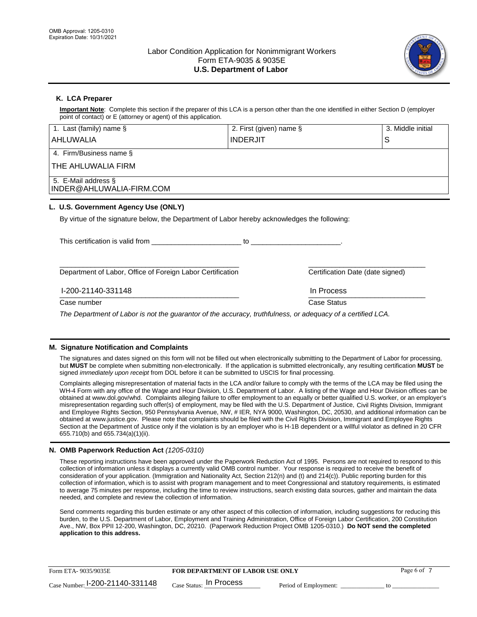

## **K. LCA Preparer**

**Important Note**: Complete this section if the preparer of this LCA is a person other than the one identified in either Section D (employer point of contact) or E (attorney or agent) of this application.

| 1. Last (family) name $\S$                                                                             | 2. First (given) name §                                                                                                                                                                                                        |                                  | 3. Middle initial |
|--------------------------------------------------------------------------------------------------------|--------------------------------------------------------------------------------------------------------------------------------------------------------------------------------------------------------------------------------|----------------------------------|-------------------|
| <b>AHLUWALIA</b>                                                                                       | <b>INDERJIT</b>                                                                                                                                                                                                                |                                  | S                 |
| 4. Firm/Business name §                                                                                |                                                                                                                                                                                                                                |                                  |                   |
| THE AHLUWALIA FIRM                                                                                     |                                                                                                                                                                                                                                |                                  |                   |
| 5. E-Mail address §<br>INDER@AHLUWALIA-FIRM.COM                                                        |                                                                                                                                                                                                                                |                                  |                   |
| L. U.S. Government Agency Use (ONLY)                                                                   |                                                                                                                                                                                                                                |                                  |                   |
| By virtue of the signature below, the Department of Labor hereby acknowledges the following:           |                                                                                                                                                                                                                                |                                  |                   |
| This certification is valid from This certification                                                    | to the contract of the contract of the contract of the contract of the contract of the contract of the contract of the contract of the contract of the contract of the contract of the contract of the contract of the contrac |                                  |                   |
| Department of Labor, Office of Foreign Labor Certification                                             |                                                                                                                                                                                                                                | Certification Date (date signed) |                   |
| I-200-21140-331148                                                                                     |                                                                                                                                                                                                                                | In Process                       |                   |
| Case number                                                                                            |                                                                                                                                                                                                                                | Case Status                      |                   |
| The Department of Labor is not the quaranter of the esquraque truthfulness argology of a pertified LCA |                                                                                                                                                                                                                                |                                  |                   |

*The Department of Labor is not the guarantor of the accuracy, truthfulness, or adequacy of a certified LCA.*

## **M. Signature Notification and Complaints**

The signatures and dates signed on this form will not be filled out when electronically submitting to the Department of Labor for processing, but **MUST** be complete when submitting non-electronically. If the application is submitted electronically, any resulting certification **MUST** be signed *immediately upon receipt* from DOL before it can be submitted to USCIS for final processing.

Complaints alleging misrepresentation of material facts in the LCA and/or failure to comply with the terms of the LCA may be filed using the WH-4 Form with any office of the Wage and Hour Division, U.S. Department of Labor. A listing of the Wage and Hour Division offices can be obtained at www.dol.gov/whd. Complaints alleging failure to offer employment to an equally or better qualified U.S. worker, or an employer's misrepresentation regarding such offer(s) of employment, may be filed with the U.S. Department of Justice, Civil Rights Division, Immigrant and Employee Rights Section, 950 Pennsylvania Avenue, NW, # IER, NYA 9000, Washington, DC, 20530, and additional information can be obtained at www.justice.gov. Please note that complaints should be filed with the Civil Rights Division, Immigrant and Employee Rights Section at the Department of Justice only if the violation is by an employer who is H-1B dependent or a willful violator as defined in 20 CFR 655.710(b) and 655.734(a)(1)(ii).

## **N. OMB Paperwork Reduction Act** *(1205-0310)*

These reporting instructions have been approved under the Paperwork Reduction Act of 1995. Persons are not required to respond to this collection of information unless it displays a currently valid OMB control number. Your response is required to receive the benefit of consideration of your application. (Immigration and Nationality Act, Section 212(n) and (t) and 214(c)). Public reporting burden for this collection of information, which is to assist with program management and to meet Congressional and statutory requirements, is estimated to average 75 minutes per response, including the time to review instructions, search existing data sources, gather and maintain the data needed, and complete and review the collection of information.

Send comments regarding this burden estimate or any other aspect of this collection of information, including suggestions for reducing this burden, to the U.S. Department of Labor, Employment and Training Administration, Office of Foreign Labor Certification, 200 Constitution Ave., NW, Box PPII 12-200, Washington, DC, 20210. (Paperwork Reduction Project OMB 1205-0310.) **Do NOT send the completed application to this address.**

| Form ETA-9035/9035E               | <b>FOR DEPARTMENT OF LABOR USE ONLY</b> |                       | Page 6 of |
|-----------------------------------|-----------------------------------------|-----------------------|-----------|
| Case Number: $1-200-21140-331148$ | $_{\text{Case Status:}}$ In Process     | Period of Employment: |           |